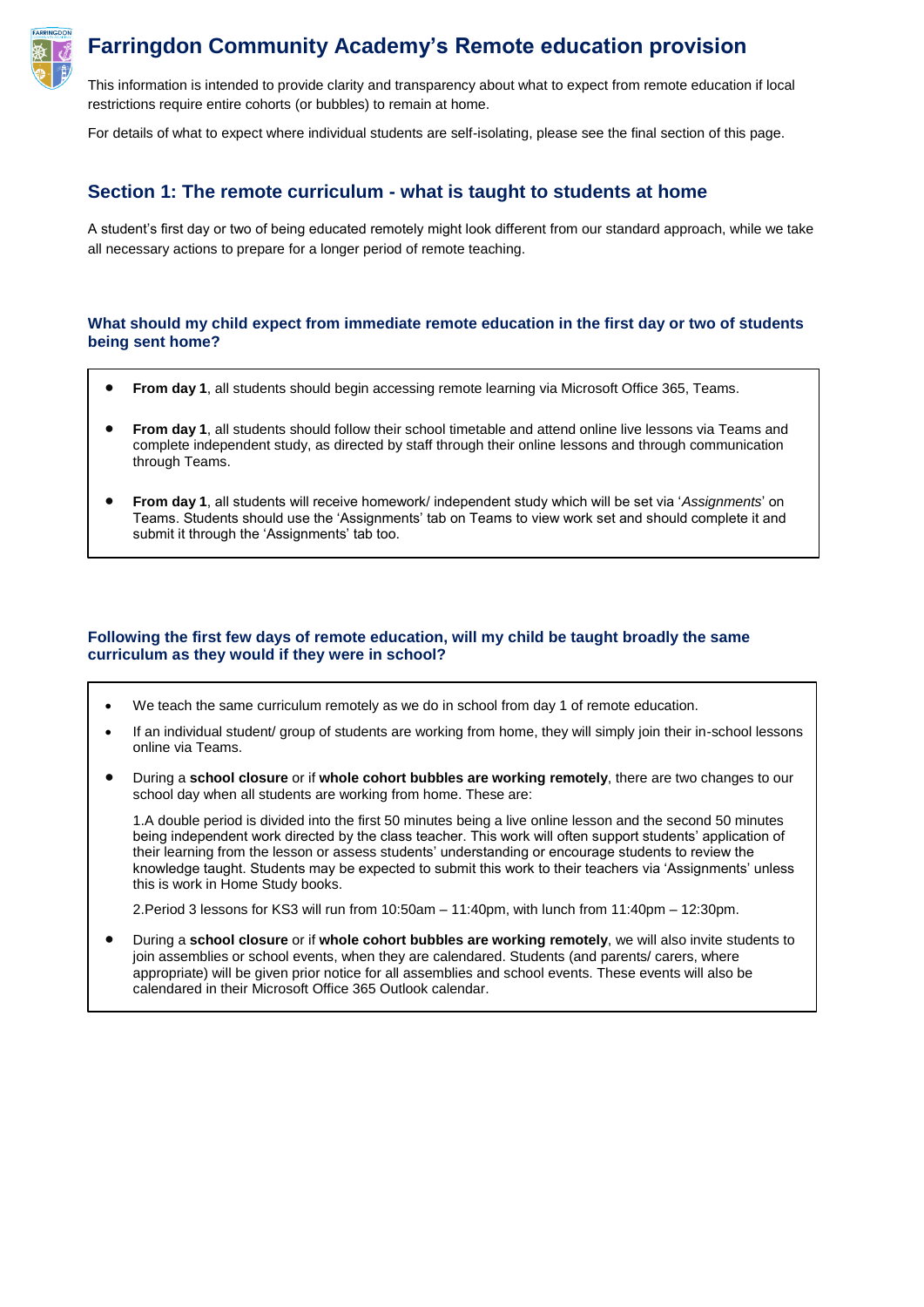

# **Farringdon Community Academy's Remote education provision**

This information is intended to provide clarity and transparency about what to expect from remote education if local restrictions require entire cohorts (or bubbles) to remain at home.

For details of what to expect where individual students are self-isolating, please see the final section of this page.

## **Section 1: The remote curriculum - what is taught to students at home**

A student's first day or two of being educated remotely might look different from our standard approach, while we take all necessary actions to prepare for a longer period of remote teaching.

### **What should my child expect from immediate remote education in the first day or two of students being sent home?**

- **From day 1**, all students should begin accessing remote learning via Microsoft Office 365, Teams.
- **From day 1**, all students should follow their school timetable and attend online live lessons via Teams and complete independent study, as directed by staff through their online lessons and through communication through Teams.
- **From day 1**, all students will receive homework/ independent study which will be set via '*Assignments*' on Teams. Students should use the 'Assignments' tab on Teams to view work set and should complete it and submit it through the 'Assignments' tab too.

## **Following the first few days of remote education, will my child be taught broadly the same curriculum as they would if they were in school?**

- We teach the same curriculum remotely as we do in school from day 1 of remote education.
- If an individual student/ group of students are working from home, they will simply join their in-school lessons online via Teams.
- During a **school closure** or if **whole cohort bubbles are working remotely**, there are two changes to our school day when all students are working from home. These are:

1.A double period is divided into the first 50 minutes being a live online lesson and the second 50 minutes being independent work directed by the class teacher. This work will often support students' application of their learning from the lesson or assess students' understanding or encourage students to review the knowledge taught. Students may be expected to submit this work to their teachers via 'Assignments' unless this is work in Home Study books.

2.Period 3 lessons for KS3 will run from 10:50am – 11:40pm, with lunch from 11:40pm – 12:30pm.

 During a **school closure** or if **whole cohort bubbles are working remotely**, we will also invite students to join assemblies or school events, when they are calendared. Students (and parents/ carers, where appropriate) will be given prior notice for all assemblies and school events. These events will also be calendared in their Microsoft Office 365 Outlook calendar.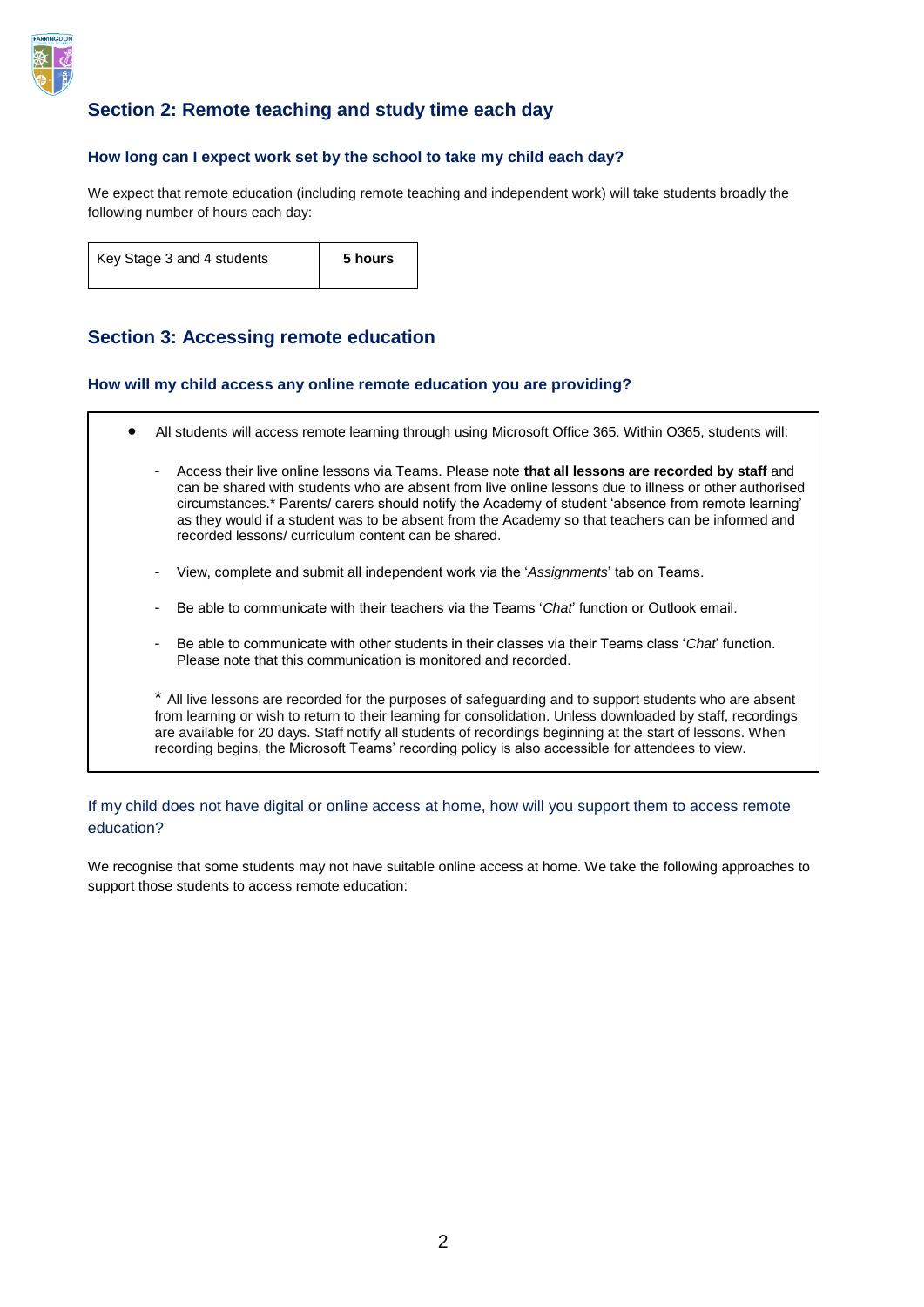

## **Section 2: Remote teaching and study time each day**

## **How long can I expect work set by the school to take my child each day?**

We expect that remote education (including remote teaching and independent work) will take students broadly the following number of hours each day:

| Key Stage 3 and 4 students | 5 hours |
|----------------------------|---------|
|                            |         |

## **Section 3: Accessing remote education**

### **How will my child access any online remote education you are providing?**

- All students will access remote learning through using Microsoft Office 365. Within O365, students will: - Access their live online lessons via Teams. Please note **that all lessons are recorded by staff** and can be shared with students who are absent from live online lessons due to illness or other authorised circumstances.\* Parents/ carers should notify the Academy of student 'absence from remote learning' as they would if a student was to be absent from the Academy so that teachers can be informed and recorded lessons/ curriculum content can be shared.
	- View, complete and submit all independent work via the '*Assignments*' tab on Teams.
	- Be able to communicate with their teachers via the Teams '*Chat*' function or Outlook email.
	- Be able to communicate with other students in their classes via their Teams class '*Chat*' function. Please note that this communication is monitored and recorded.

\* All live lessons are recorded for the purposes of safeguarding and to support students who are absent from learning or wish to return to their learning for consolidation. Unless downloaded by staff, recordings are available for 20 days. Staff notify all students of recordings beginning at the start of lessons. When recording begins, the Microsoft Teams' recording policy is also accessible for attendees to view.

## If my child does not have digital or online access at home, how will you support them to access remote education?

We recognise that some students may not have suitable online access at home. We take the following approaches to support those students to access remote education: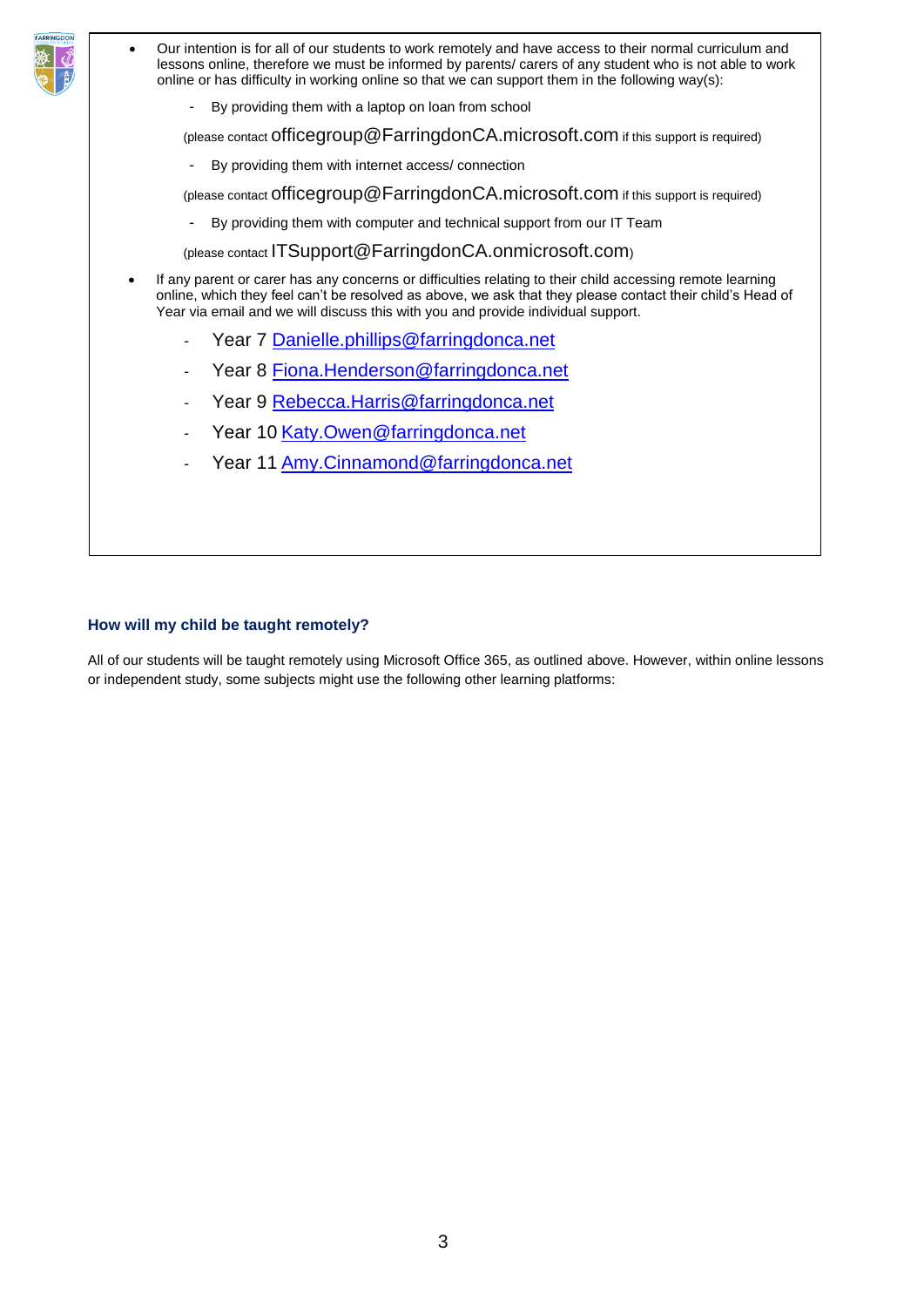|                                                                                                                                                                                                                                                                                                            | Our intention is for all of our students to work remotely and have access to their normal curriculum and<br>$\bullet$<br>lessons online, therefore we must be informed by parents/ carers of any student who is not able to work<br>online or has difficulty in working online so that we can support them in the following way(s): |  |  |
|------------------------------------------------------------------------------------------------------------------------------------------------------------------------------------------------------------------------------------------------------------------------------------------------------------|-------------------------------------------------------------------------------------------------------------------------------------------------------------------------------------------------------------------------------------------------------------------------------------------------------------------------------------|--|--|
|                                                                                                                                                                                                                                                                                                            | By providing them with a laptop on loan from school                                                                                                                                                                                                                                                                                 |  |  |
|                                                                                                                                                                                                                                                                                                            | (please contact Officegroup @ FarringdonCA.microsoft.com if this support is required)                                                                                                                                                                                                                                               |  |  |
|                                                                                                                                                                                                                                                                                                            | By providing them with internet access/connection                                                                                                                                                                                                                                                                                   |  |  |
|                                                                                                                                                                                                                                                                                                            | (please contact Officegroup@FarringdonCA.microsoft.com if this support is required)                                                                                                                                                                                                                                                 |  |  |
|                                                                                                                                                                                                                                                                                                            | By providing them with computer and technical support from our IT Team                                                                                                                                                                                                                                                              |  |  |
|                                                                                                                                                                                                                                                                                                            | (please contact ITSupport@FarringdonCA.onmicrosoft.com)                                                                                                                                                                                                                                                                             |  |  |
| If any parent or carer has any concerns or difficulties relating to their child accessing remote learning<br>online, which they feel can't be resolved as above, we ask that they please contact their child's Head of<br>Year via email and we will discuss this with you and provide individual support. |                                                                                                                                                                                                                                                                                                                                     |  |  |
|                                                                                                                                                                                                                                                                                                            | Year 7 Danielle.phillips@farringdonca.net                                                                                                                                                                                                                                                                                           |  |  |
|                                                                                                                                                                                                                                                                                                            | Year 8 Fiona. Henderson@farringdonca.net<br>$\blacksquare$                                                                                                                                                                                                                                                                          |  |  |
|                                                                                                                                                                                                                                                                                                            | Year 9 Rebecca. Harris @farringdonca.net<br>٠                                                                                                                                                                                                                                                                                       |  |  |
|                                                                                                                                                                                                                                                                                                            | Year 10 Katy.Owen@farringdonca.net                                                                                                                                                                                                                                                                                                  |  |  |
|                                                                                                                                                                                                                                                                                                            | Year 11 Amy.Cinnamond@farringdonca.net<br>$\qquad \qquad \blacksquare$                                                                                                                                                                                                                                                              |  |  |
|                                                                                                                                                                                                                                                                                                            |                                                                                                                                                                                                                                                                                                                                     |  |  |
|                                                                                                                                                                                                                                                                                                            |                                                                                                                                                                                                                                                                                                                                     |  |  |

## **How will my child be taught remotely?**

EAPPINCO

All of our students will be taught remotely using Microsoft Office 365, as outlined above. However, within online lessons or independent study, some subjects might use the following other learning platforms: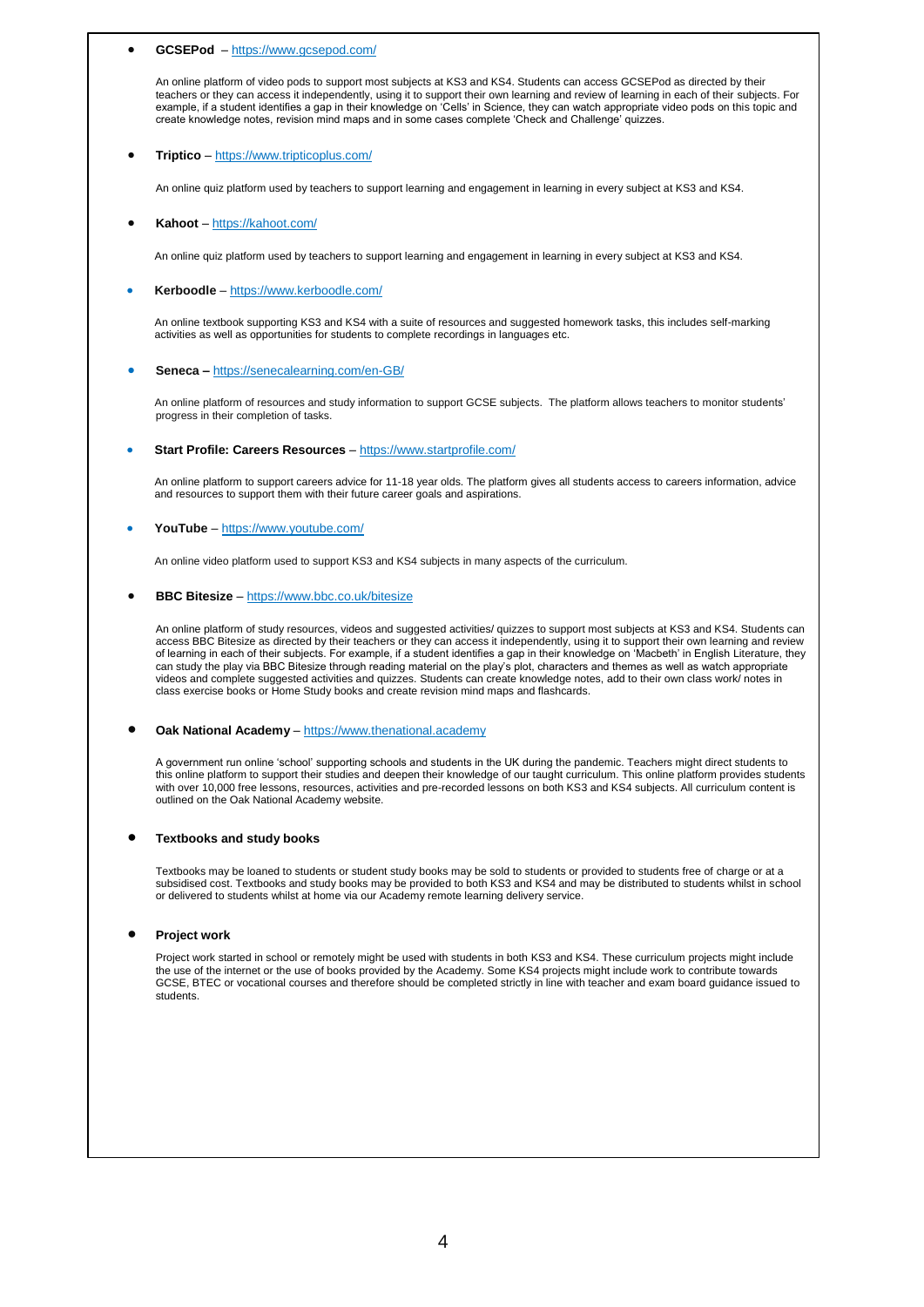### **GCSEPod** – <https://www.gcsepod.com/>

An online platform of video pods to support most subjects at KS3 and KS4. Students can access GCSEPod as directed by their teachers or they can access it independently, using it to support their own learning and review of learning in each of their subjects. For example, if a student identifies a gap in their knowledge on 'Cells' in Science, they can watch appropriate video pods on this topic and create knowledge notes, revision mind maps and in some cases complete 'Check and Challenge' quizzes.

#### **Triptico** – <https://www.tripticoplus.com/>

An online quiz platform used by teachers to support learning and engagement in learning in every subject at KS3 and KS4.

#### **Kahoot** – <https://kahoot.com/>

An online quiz platform used by teachers to support learning and engagement in learning in every subject at KS3 and KS4.

#### **Kerboodle** – <https://www.kerboodle.com/>

An online textbook supporting KS3 and KS4 with a suite of resources and suggested homework tasks, this includes self-marking activities as well as opportunities for students to complete recordings in languages etc.

#### **Seneca –** <https://senecalearning.com/en-GB/>

An online platform of resources and study information to support GCSE subjects. The platform allows teachers to monitor students' progress in their completion of tasks.

#### **Start Profile: Careers Resources** – <https://www.startprofile.com/>

An online platform to support careers advice for 11-18 year olds. The platform gives all students access to careers information, advice and resources to support them with their future career goals and aspirations.

#### **YouTube** – <https://www.youtube.com/>

An online video platform used to support KS3 and KS4 subjects in many aspects of the curriculum.

#### **BBC Bitesize** – <https://www.bbc.co.uk/bitesize>

An online platform of study resources, videos and suggested activities/ quizzes to support most subjects at KS3 and KS4. Students can access BBC Bitesize as directed by their teachers or they can access it independently, using it to support their own learning and review of learning in each of their subjects. For example, if a student identifies a gap in their knowledge on 'Macbeth' in English Literature, they can study the play via BBC Bitesize through reading material on the play's plot, characters and themes as well as watch appropriate videos and complete suggested activities and quizzes. Students can create knowledge notes, add to their own class work/ notes in class exercise books or Home Study books and create revision mind maps and flashcards.

#### **Oak National Academy** – [https://www.thenational.academy](https://www.thenational.academy/)

A government run online 'school' supporting schools and students in the UK during the pandemic. Teachers might direct students to this online platform to support their studies and deepen their knowledge of our taught curriculum. This online platform provides students with over 10,000 free lessons, resources, activities and pre-recorded lessons on both KS3 and KS4 subjects. All curriculum content is outlined on the Oak National Academy website.

#### **Textbooks and study books**

Textbooks may be loaned to students or student study books may be sold to students or provided to students free of charge or at a subsidised cost. Textbooks and study books may be provided to both KS3 and KS4 and may be distributed to students whilst in school or delivered to students whilst at home via our Academy remote learning delivery service.

#### **Project work**

Project work started in school or remotely might be used with students in both KS3 and KS4. These curriculum projects might include the use of the internet or the use of books provided by the Academy. Some KS4 projects might include work to contribute towards GCSE, BTEC or vocational courses and therefore should be completed strictly in line with teacher and exam board guidance issued to students.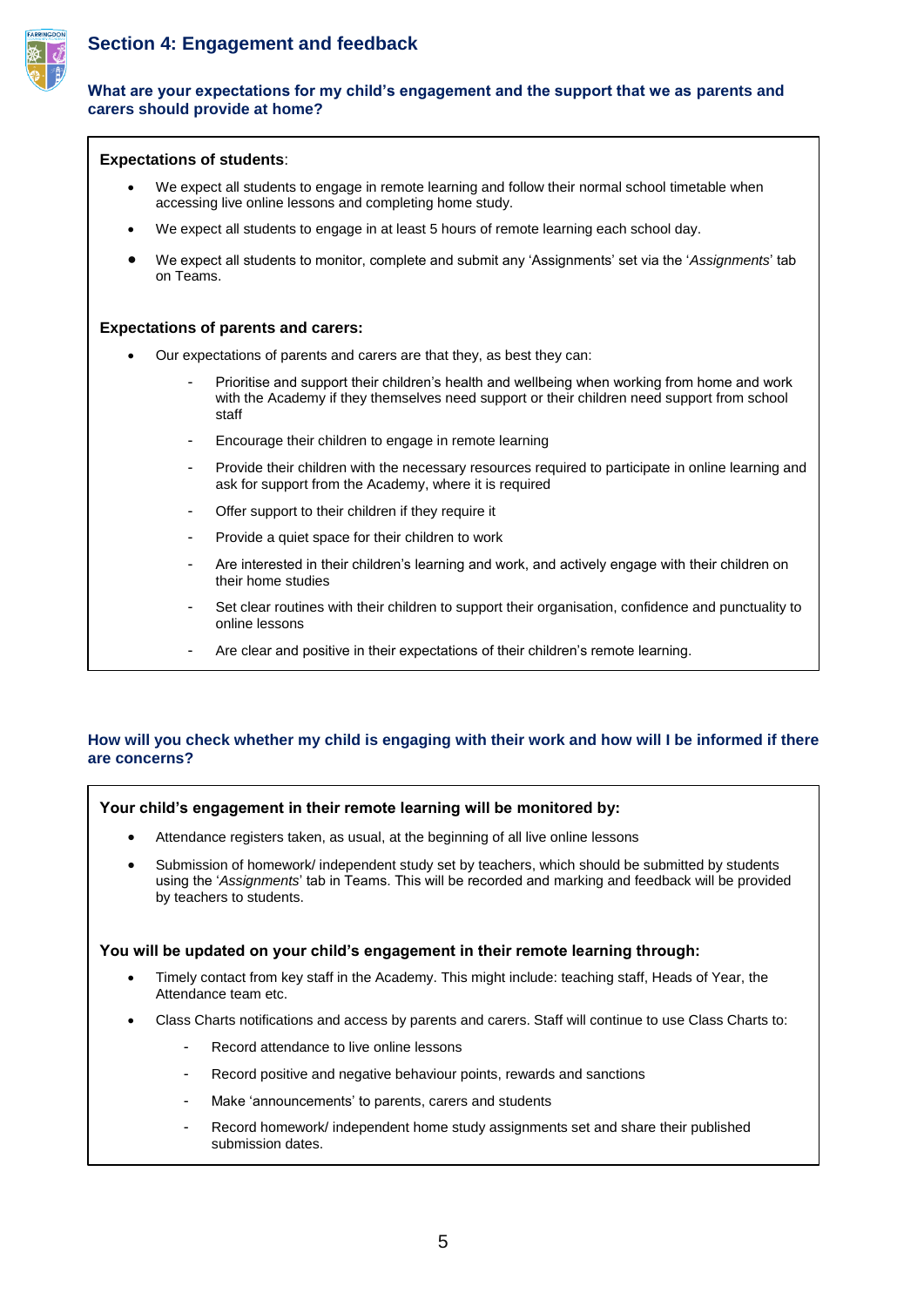

## **Section 4: Engagement and feedback**

### **What are your expectations for my child's engagement and the support that we as parents and carers should provide at home?**

|           |                                                                                                                                                               | <b>Expectations of students:</b>                                                                                                                                                                     |  |
|-----------|---------------------------------------------------------------------------------------------------------------------------------------------------------------|------------------------------------------------------------------------------------------------------------------------------------------------------------------------------------------------------|--|
| $\bullet$ | We expect all students to engage in remote learning and follow their normal school timetable when<br>accessing live online lessons and completing home study. |                                                                                                                                                                                                      |  |
| ٠         | We expect all students to engage in at least 5 hours of remote learning each school day.                                                                      |                                                                                                                                                                                                      |  |
|           | on Teams.                                                                                                                                                     | We expect all students to monitor, complete and submit any 'Assignments' set via the 'Assignments' tab                                                                                               |  |
|           |                                                                                                                                                               | <b>Expectations of parents and carers:</b>                                                                                                                                                           |  |
|           | Our expectations of parents and carers are that they, as best they can:                                                                                       |                                                                                                                                                                                                      |  |
|           |                                                                                                                                                               | Prioritise and support their children's health and wellbeing when working from home and work<br>with the Academy if they themselves need support or their children need support from school<br>staff |  |
|           | ٠                                                                                                                                                             | Encourage their children to engage in remote learning                                                                                                                                                |  |
|           | ۰                                                                                                                                                             | Provide their children with the necessary resources required to participate in online learning and<br>ask for support from the Academy, where it is required                                         |  |
|           | $\blacksquare$                                                                                                                                                | Offer support to their children if they require it                                                                                                                                                   |  |
|           | ۰                                                                                                                                                             | Provide a quiet space for their children to work                                                                                                                                                     |  |
|           | ۰                                                                                                                                                             | Are interested in their children's learning and work, and actively engage with their children on<br>their home studies                                                                               |  |
|           |                                                                                                                                                               | Set clear routines with their children to support their organisation, confidence and punctuality to<br>online lessons                                                                                |  |
|           |                                                                                                                                                               | Are clear and positive in their expectations of their children's remote learning.                                                                                                                    |  |
|           |                                                                                                                                                               |                                                                                                                                                                                                      |  |

## **How will you check whether my child is engaging with their work and how will I be informed if there are concerns?**

### **Your child's engagement in their remote learning will be monitored by:**

- Attendance registers taken, as usual, at the beginning of all live online lessons
- Submission of homework/ independent study set by teachers, which should be submitted by students using the '*Assignments*' tab in Teams. This will be recorded and marking and feedback will be provided by teachers to students.

### **You will be updated on your child's engagement in their remote learning through:**

- Timely contact from key staff in the Academy. This might include: teaching staff, Heads of Year, the Attendance team etc.
- Class Charts notifications and access by parents and carers. Staff will continue to use Class Charts to:
	- Record attendance to live online lessons
	- Record positive and negative behaviour points, rewards and sanctions
	- Make 'announcements' to parents, carers and students
	- Record homework/ independent home study assignments set and share their published submission dates.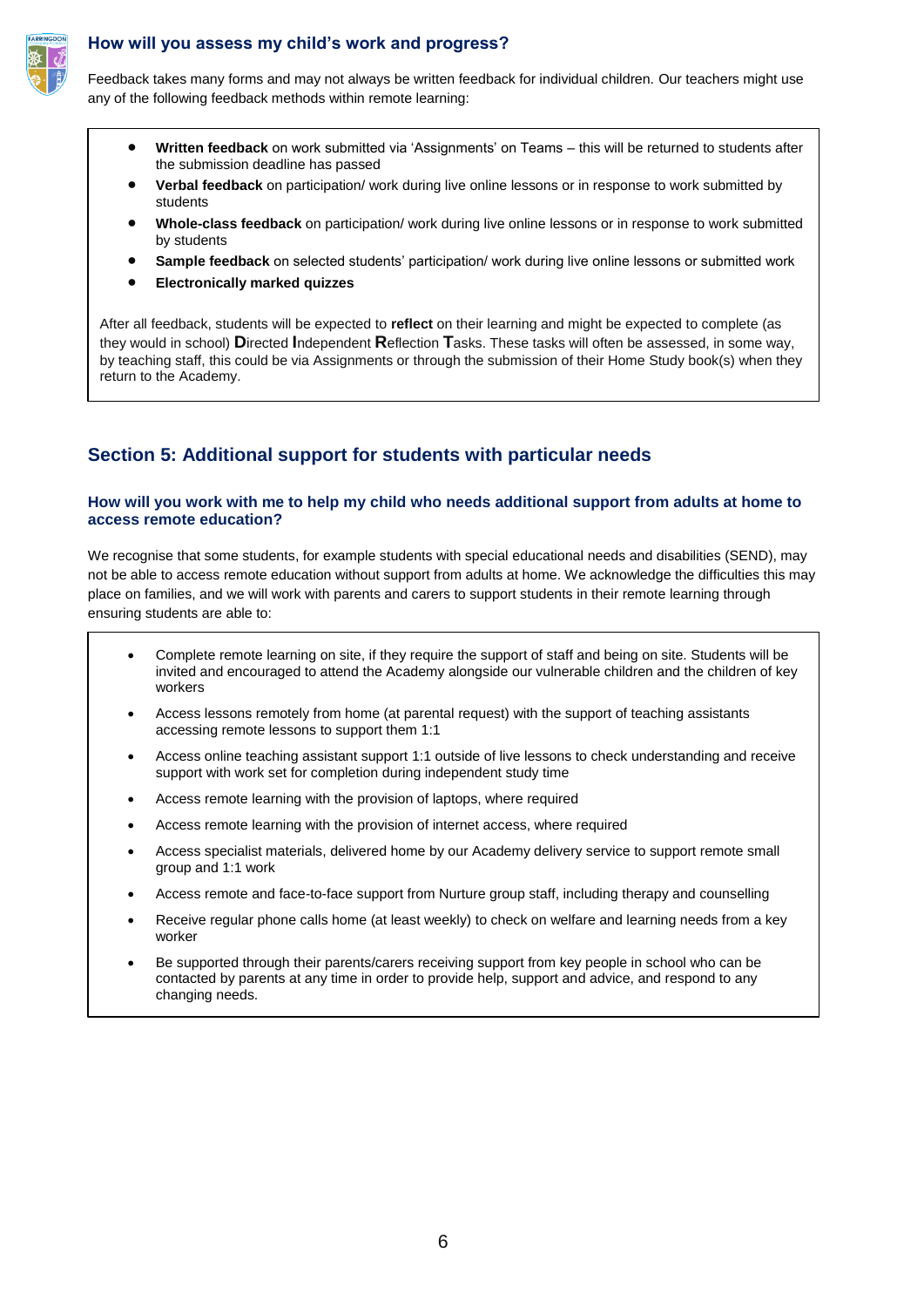

## **How will you assess my child's work and progress?**

Feedback takes many forms and may not always be written feedback for individual children. Our teachers might use any of the following feedback methods within remote learning:

- **Written feedback** on work submitted via 'Assignments' on Teams this will be returned to students after the submission deadline has passed
- **Verbal feedback** on participation/ work during live online lessons or in response to work submitted by students
- **Whole-class feedback** on participation/ work during live online lessons or in response to work submitted by students
- **Sample feedback** on selected students' participation/ work during live online lessons or submitted work
- **Electronically marked quizzes**

After all feedback, students will be expected to **reflect** on their learning and might be expected to complete (as they would in school) **D**irected **I**ndependent **R**eflection **T**asks. These tasks will often be assessed, in some way, by teaching staff, this could be via Assignments or through the submission of their Home Study book(s) when they return to the Academy.

## **Section 5: Additional support for students with particular needs**

### **How will you work with me to help my child who needs additional support from adults at home to access remote education?**

We recognise that some students, for example students with special educational needs and disabilities (SEND), may not be able to access remote education without support from adults at home. We acknowledge the difficulties this may place on families, and we will work with parents and carers to support students in their remote learning through ensuring students are able to:

- Complete remote learning on site, if they require the support of staff and being on site. Students will be invited and encouraged to attend the Academy alongside our vulnerable children and the children of key workers
- Access lessons remotely from home (at parental request) with the support of teaching assistants accessing remote lessons to support them 1:1
- Access online teaching assistant support 1:1 outside of live lessons to check understanding and receive support with work set for completion during independent study time
- Access remote learning with the provision of laptops, where required
- Access remote learning with the provision of internet access, where required
- Access specialist materials, delivered home by our Academy delivery service to support remote small group and 1:1 work
- Access remote and face-to-face support from Nurture group staff, including therapy and counselling
- Receive regular phone calls home (at least weekly) to check on welfare and learning needs from a key worker
- Be supported through their parents/carers receiving support from key people in school who can be contacted by parents at any time in order to provide help, support and advice, and respond to any changing needs.